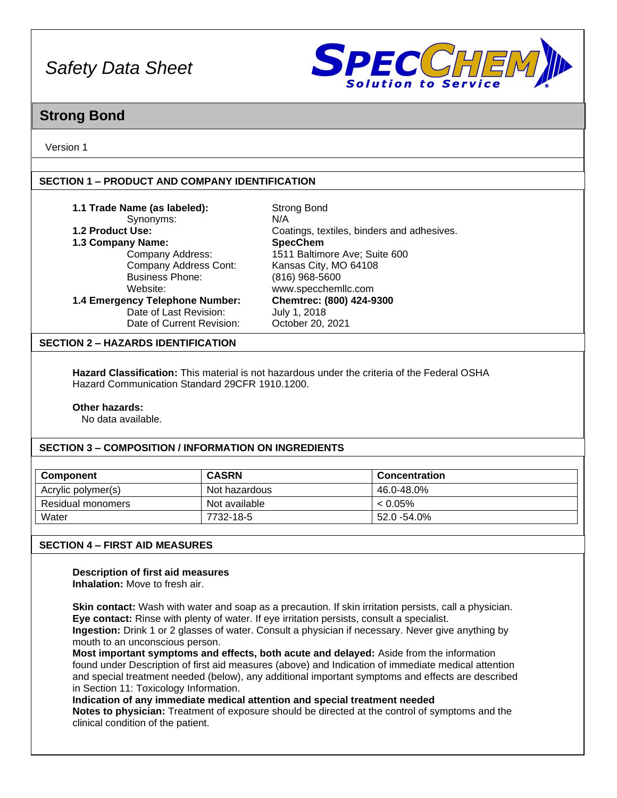

### **Strong Bond**

Version 1

### **SECTION 1 – PRODUCT AND COMPANY IDENTIFICATION**

| 1.1 Trade Name (as labeled):    | <b>Strong Bond</b>                         |  |
|---------------------------------|--------------------------------------------|--|
| Synonyms:                       | N/A                                        |  |
| 1.2 Product Use:                | Coatings, textiles, binders and adhesives. |  |
| 1.3 Company Name:               | <b>SpecChem</b>                            |  |
| Company Address:                | 1511 Baltimore Ave; Suite 600              |  |
| Company Address Cont:           | Kansas City, MO 64108                      |  |
| <b>Business Phone:</b>          | (816) 968-5600                             |  |
| Website:                        | www.specchemllc.com                        |  |
| 1.4 Emergency Telephone Number: | Chemtrec: (800) 424-9300                   |  |
| Date of Last Revision:          | July 1, 2018                               |  |
| Date of Current Revision:       | October 20, 2021                           |  |

### **SECTION 2 – HAZARDS IDENTIFICATION**

**Hazard Classification:** This material is not hazardous under the criteria of the Federal OSHA Hazard Communication Standard 29CFR 1910.1200.

#### **Other hazards:**

No data available.

### **SECTION 3 – COMPOSITION / INFORMATION ON INGREDIENTS**

| Component          | <b>CASRN</b>  | <b>Concentration</b> |
|--------------------|---------------|----------------------|
| Acrylic polymer(s) | Not hazardous | 46.0-48.0%           |
| Residual monomers  | Not available | $< 0.05\%$           |
| Water              | 7732-18-5     | 52.0 -54.0%          |

### **SECTION 4 – FIRST AID MEASURES**

### **Description of first aid measures**

**Inhalation:** Move to fresh air.

**Skin contact:** Wash with water and soap as a precaution. If skin irritation persists, call a physician. **Eye contact:** Rinse with plenty of water. If eye irritation persists, consult a specialist.

**Ingestion:** Drink 1 or 2 glasses of water. Consult a physician if necessary. Never give anything by mouth to an unconscious person.

**Most important symptoms and effects, both acute and delayed:** Aside from the information found under Description of first aid measures (above) and Indication of immediate medical attention and special treatment needed (below), any additional important symptoms and effects are described in Section 11: Toxicology Information.

### **Indication of any immediate medical attention and special treatment needed**

**Notes to physician:** Treatment of exposure should be directed at the control of symptoms and the clinical condition of the patient.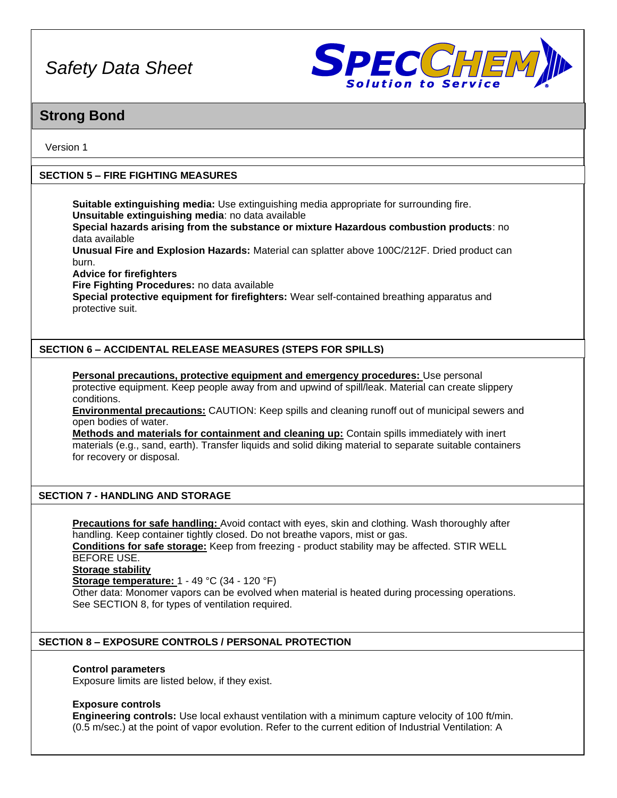

## **Strong Bond**

Version 1

### **SECTION 5 – FIRE FIGHTING MEASURES**

**Suitable extinguishing media:** Use extinguishing media appropriate for surrounding fire. **Unsuitable extinguishing media**: no data available

**Special hazards arising from the substance or mixture Hazardous combustion products**: no data available

**Unusual Fire and Explosion Hazards:** Material can splatter above 100C/212F. Dried product can burn.

**Advice for firefighters**

**Fire Fighting Procedures:** no data available

**Special protective equipment for firefighters:** Wear self-contained breathing apparatus and protective suit.

### **SECTION 6 – ACCIDENTAL RELEASE MEASURES (STEPS FOR SPILLS)**

**Personal precautions, protective equipment and emergency procedures:** Use personal protective equipment. Keep people away from and upwind of spill/leak. Material can create slippery conditions.

**Environmental precautions:** CAUTION: Keep spills and cleaning runoff out of municipal sewers and open bodies of water.

**Methods and materials for containment and cleaning up:** Contain spills immediately with inert materials (e.g., sand, earth). Transfer liquids and solid diking material to separate suitable containers for recovery or disposal.

### **SECTION 7 - HANDLING AND STORAGE**

**Precautions for safe handling:** Avoid contact with eyes, skin and clothing. Wash thoroughly after handling. Keep container tightly closed. Do not breathe vapors, mist or gas.

**Conditions for safe storage:** Keep from freezing - product stability may be affected. STIR WELL BEFORE USE.

**Storage stability**

**Storage temperature:** 1 - 49 °C (34 - 120 °F)

Other data: Monomer vapors can be evolved when material is heated during processing operations. See SECTION 8, for types of ventilation required.

### **SECTION 8 – EXPOSURE CONTROLS / PERSONAL PROTECTION**

### **Control parameters**

Exposure limits are listed below, if they exist.

### **Exposure controls**

**Engineering controls:** Use local exhaust ventilation with a minimum capture velocity of 100 ft/min. (0.5 m/sec.) at the point of vapor evolution. Refer to the current edition of Industrial Ventilation: A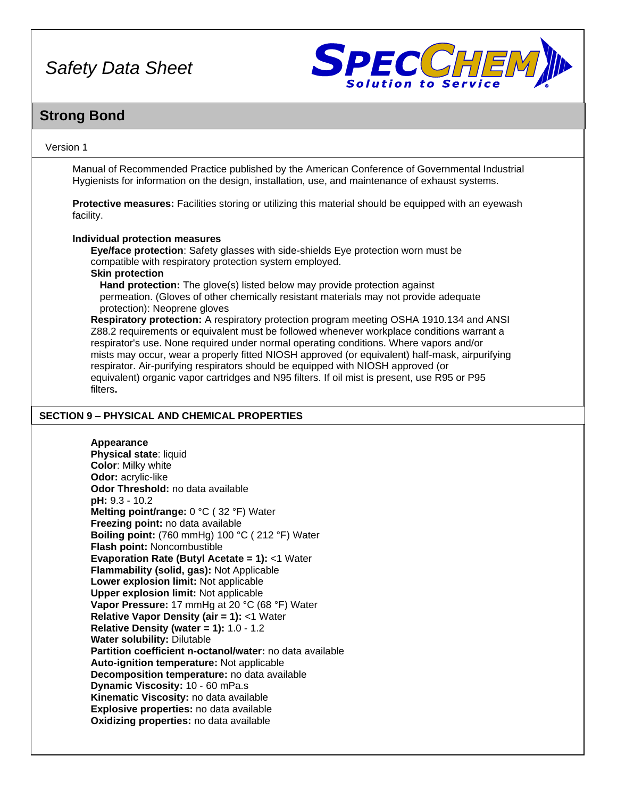

## **Strong Bond**

### Version 1

Manual of Recommended Practice published by the American Conference of Governmental Industrial Hygienists for information on the design, installation, use, and maintenance of exhaust systems.

**Protective measures:** Facilities storing or utilizing this material should be equipped with an eyewash facility.

#### **Individual protection measures**

**Eye/face protection**: Safety glasses with side-shields Eye protection worn must be compatible with respiratory protection system employed. **Skin protection**

**Hand protection:** The glove(s) listed below may provide protection against permeation. (Gloves of other chemically resistant materials may not provide adequate protection): Neoprene gloves

**Respiratory protection:** A respiratory protection program meeting OSHA 1910.134 and ANSI Z88.2 requirements or equivalent must be followed whenever workplace conditions warrant a respirator's use. None required under normal operating conditions. Where vapors and/or mists may occur, wear a properly fitted NIOSH approved (or equivalent) half-mask, airpurifying respirator. Air-purifying respirators should be equipped with NIOSH approved (or equivalent) organic vapor cartridges and N95 filters. If oil mist is present, use R95 or P95 filters**.**

### **SECTION 9 – PHYSICAL AND CHEMICAL PROPERTIES**

### **Appearance**

**Physical state**: liquid **Color**: Milky white **Odor:** acrylic-like **Odor Threshold:** no data available **pH:** 9.3 - 10.2 **Melting point/range:** 0 °C ( 32 °F) Water **Freezing point:** no data available **Boiling point:** (760 mmHg) 100 °C ( 212 °F) Water **Flash point:** Noncombustible **Evaporation Rate (Butyl Acetate = 1):** <1 Water **Flammability (solid, gas):** Not Applicable **Lower explosion limit:** Not applicable **Upper explosion limit:** Not applicable **Vapor Pressure:** 17 mmHg at 20 °C (68 °F) Water **Relative Vapor Density (air = 1):** <1 Water **Relative Density (water = 1):** 1.0 - 1.2 **Water solubility:** Dilutable **Partition coefficient n-octanol/water:** no data available **Auto-ignition temperature:** Not applicable **Decomposition temperature:** no data available **Dynamic Viscosity:** 10 - 60 mPa.s **Kinematic Viscosity:** no data available **Explosive properties:** no data available **Oxidizing properties:** no data available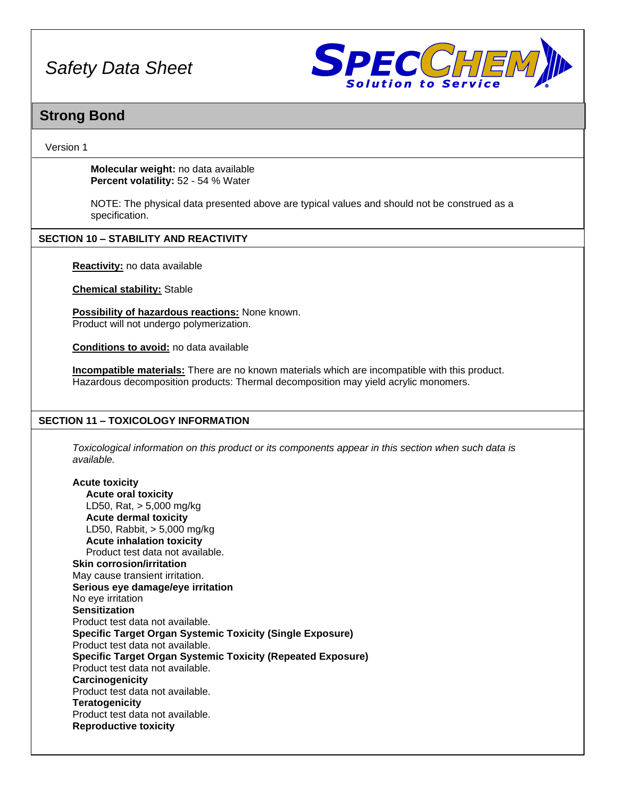

### **Strong Bond**

### Version 1

**Molecular weight:** no data available **Percent volatility:** 52 - 54 % Water

NOTE: The physical data presented above are typical values and should not be construed as a specification.

### **SECTION 10 – STABILITY AND REACTIVITY**

**Reactivity:** no data available

**Chemical stability:** Stable

**Possibility of hazardous reactions:** None known. Product will not undergo polymerization.

**Conditions to avoid:** no data available

**Incompatible materials:** There are no known materials which are incompatible with this product. Hazardous decomposition products: Thermal decomposition may yield acrylic monomers.

### **SECTION 11 – TOXICOLOGY INFORMATION**

*Toxicological information on this product or its components appear in this section when such data is available.*

**Acute toxicity Acute oral toxicity** LD50, Rat, > 5,000 mg/kg **Acute dermal toxicity** LD50, Rabbit, > 5,000 mg/kg **Acute inhalation toxicity** Product test data not available. **Skin corrosion/irritation** May cause transient irritation. **Serious eye damage/eye irritation** No eye irritation **Sensitization** Product test data not available. **Specific Target Organ Systemic Toxicity (Single Exposure)** Product test data not available. **Specific Target Organ Systemic Toxicity (Repeated Exposure)** Product test data not available. **Carcinogenicity** Product test data not available. **Teratogenicity** Product test data not available. **Reproductive toxicity**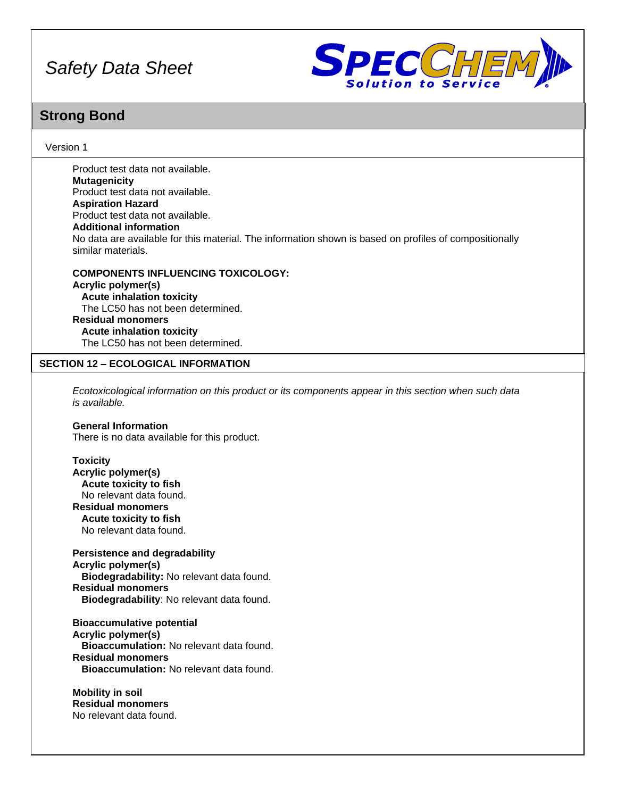

## **Strong Bond**

### Version 1

Product test data not available. **Mutagenicity** Product test data not available. **Aspiration Hazard** Product test data not available. **Additional information** No data are available for this material. The information shown is based on profiles of compositionally similar materials.

**COMPONENTS INFLUENCING TOXICOLOGY: Acrylic polymer(s) Acute inhalation toxicity** The LC50 has not been determined. **Residual monomers Acute inhalation toxicity** The LC50 has not been determined.

### **SECTION 12 – ECOLOGICAL INFORMATION**

*Ecotoxicological information on this product or its components appear in this section when such data is available.*

#### **General Information**

There is no data available for this product.

#### **Toxicity**

**Acrylic polymer(s) Acute toxicity to fish** No relevant data found. **Residual monomers Acute toxicity to fish** No relevant data found.

**Persistence and degradability Acrylic polymer(s) Biodegradability:** No relevant data found. **Residual monomers Biodegradability**: No relevant data found.

**Bioaccumulative potential Acrylic polymer(s) Bioaccumulation:** No relevant data found. **Residual monomers Bioaccumulation:** No relevant data found.

**Mobility in soil Residual monomers** No relevant data found.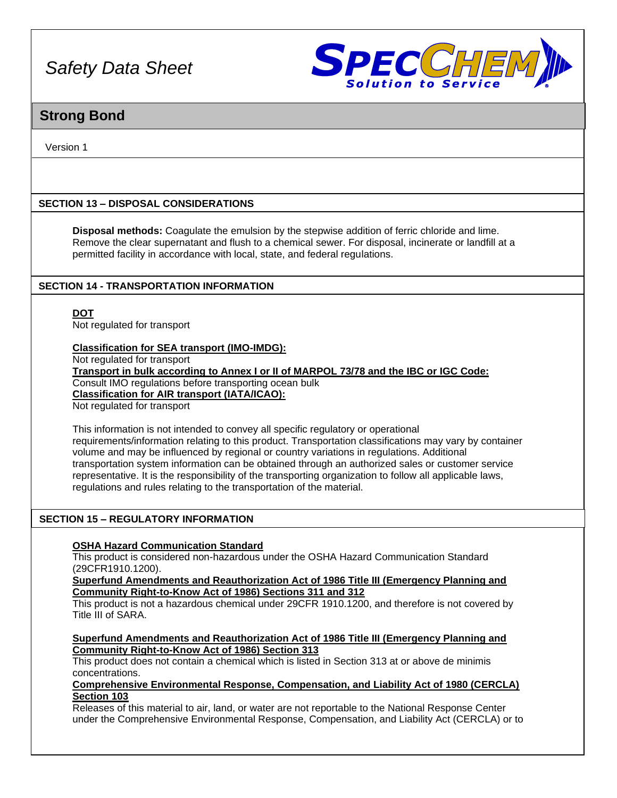

## **Strong Bond**

Version 1

### **SECTION 13 – DISPOSAL CONSIDERATIONS**

**Disposal methods:** Coagulate the emulsion by the stepwise addition of ferric chloride and lime. Remove the clear supernatant and flush to a chemical sewer. For disposal, incinerate or landfill at a permitted facility in accordance with local, state, and federal regulations.

### **SECTION 14 - TRANSPORTATION INFORMATION**

**DOT**

Not regulated for transport

### **Classification for SEA transport (IMO-IMDG):**

Not regulated for transport

**Transport in bulk according to Annex I or II of MARPOL 73/78 and the IBC or IGC Code:** Consult IMO regulations before transporting ocean bulk **Classification for AIR transport (IATA/ICAO):**

Not regulated for transport

This information is not intended to convey all specific regulatory or operational requirements/information relating to this product. Transportation classifications may vary by container volume and may be influenced by regional or country variations in regulations. Additional transportation system information can be obtained through an authorized sales or customer service representative. It is the responsibility of the transporting organization to follow all applicable laws, regulations and rules relating to the transportation of the material.

### **SECTION 15 – REGULATORY INFORMATION**

### **OSHA Hazard Communication Standard**

This product is considered non-hazardous under the OSHA Hazard Communication Standard (29CFR1910.1200).

**Superfund Amendments and Reauthorization Act of 1986 Title III (Emergency Planning and Community Right-to-Know Act of 1986) Sections 311 and 312**

This product is not a hazardous chemical under 29CFR 1910.1200, and therefore is not covered by Title III of SARA.

**Superfund Amendments and Reauthorization Act of 1986 Title III (Emergency Planning and Community Right-to-Know Act of 1986) Section 313**

This product does not contain a chemical which is listed in Section 313 at or above de minimis concentrations.

### **Comprehensive Environmental Response, Compensation, and Liability Act of 1980 (CERCLA) Section 103**

Releases of this material to air, land, or water are not reportable to the National Response Center under the Comprehensive Environmental Response, Compensation, and Liability Act (CERCLA) or to